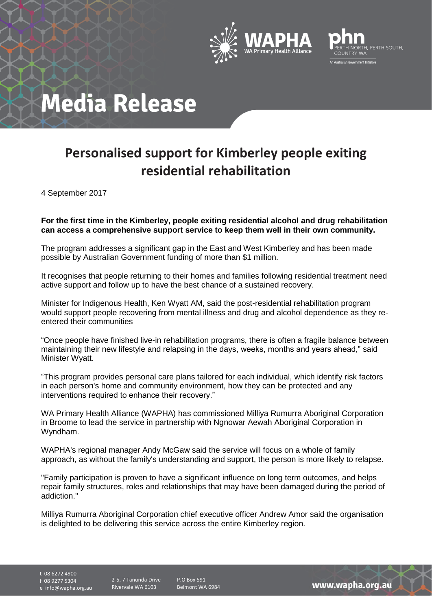



## **Media Release**

## **Personalised support for Kimberley people exiting residential rehabilitation**

4 September 2017

**For the first time in the Kimberley, people exiting residential alcohol and drug rehabilitation can access a comprehensive support service to keep them well in their own community.**

The program addresses a significant gap in the East and West Kimberley and has been made possible by Australian Government funding of more than \$1 million.

It recognises that people returning to their homes and families following residential treatment need active support and follow up to have the best chance of a sustained recovery.

Minister for Indigenous Health, Ken Wyatt AM, said the post-residential rehabilitation program would support people recovering from mental illness and drug and alcohol dependence as they reentered their communities

"Once people have finished live-in rehabilitation programs, there is often a fragile balance between maintaining their new lifestyle and relapsing in the days, weeks, months and years ahead," said Minister Wyatt.

"This program provides personal care plans tailored for each individual, which identify risk factors in each person's home and community environment, how they can be protected and any interventions required to enhance their recovery."

WA Primary Health Alliance (WAPHA) has commissioned Milliya Rumurra Aboriginal Corporation in Broome to lead the service in partnership with Ngnowar Aewah Aboriginal Corporation in Wyndham.

WAPHA's regional manager Andy McGaw said the service will focus on a whole of family approach, as without the family's understanding and support, the person is more likely to relapse.

"Family participation is proven to have a significant influence on long term outcomes, and helps repair family structures, roles and relationships that may have been damaged during the period of addiction."

Milliya Rumurra Aboriginal Corporation chief executive officer Andrew Amor said the organisation is delighted to be delivering this service across the entire Kimberley region.

t 08 6272 4900

f 08 9277 5304

e info@wapha.org.au

2-5, 7 Tanunda Drive Rivervale WA 6103

P.O Box 591 Belmont WA 6984

www.wapha.org.au